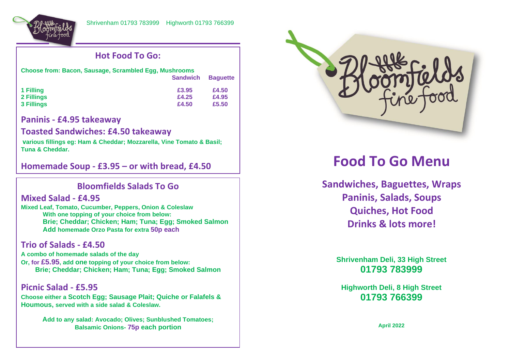

## **Hot Food To Go:**

| <b>Choose from: Bacon, Sausage, Scrambled Egg, Mushrooms</b> |                 |                 |  |
|--------------------------------------------------------------|-----------------|-----------------|--|
|                                                              | <b>Sandwich</b> | <b>Baguette</b> |  |
| 1 Filling                                                    | £3.95           | £4.50           |  |
| 2 Fillings                                                   | £4.25           | £4.95           |  |
| 3 Fillings                                                   | £4.50           | £5.50           |  |

#### **Paninis - £4.95 takeaway**

#### **Toasted Sandwiches: £4.50 takeaway**

**various fillings eg: Ham & Cheddar; Mozzarella, Vine Tomato & Basil; Tuna & Cheddar.**

**Homemade Soup - £3.95 – or with bread, £4.50**

# **Bloomfields Salads To Go**

#### **Mixed Salad - £4.95**

 $\overline{a}$ 

**Mixed Leaf, Tomato, Cucumber, Peppers, Onion & Coleslaw With one topping of your choice from below: Brie; Cheddar; Chicken; Ham; Tuna; Egg; Smoked Salmon Add homemade Orzo Pasta for extra 50p each**

### **Trio of Salads - £4.50**

**A combo of homemade salads of the day Or, for £5.95, add one topping of your choice from below: Brie; Cheddar; Chicken; Ham; Tuna; Egg; Smoked Salmon**

**Picnic Salad - £5.95 Choose either a Scotch Egg; Sausage Plait; Quiche or Falafels & Houmous, served with a side salad & Coleslaw.** 

> **Add to any salad: Avocado; Olives; Sunblushed Tomatoes; Balsamic Onions- 75p each portion**



# **Food To Go Menu**

**Sandwiches, Baguettes, Wraps Paninis, Salads, Soups Quiches, Hot Food Drinks & lots more!**

**Shrivenham Deli, 33 High Street 01793 783999**

**Highworth Deli, 8 High Street 01793 766399**

**April 2022**